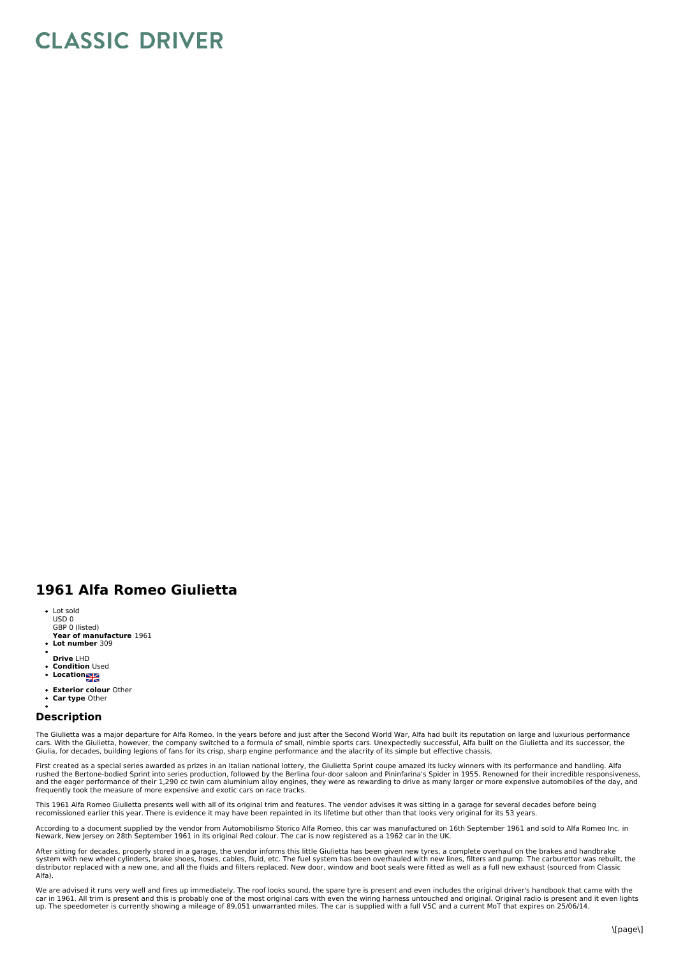## **CLASSIC DRIVER**

## **1961 Alfa Romeo Giulietta**

- Lot sold USD 0 GBP 0 (listed)
- **Year of manufacture** 1961 **Lot number** 309
- 
- **Drive** LHD
- **Condition** Used
- **Location**
- **Exterior colour** Other
- **Car type** Other  $\overline{a}$

## **Description**

The Giulietta was a major departure for Alfa Romeo. In the years before and just after the Second World War, Alfa had built its reputation on large and luxurious performance cars. With the Giulietta, however, the company switched to a formula of small, nimble sports cars. Unexpectedly successful, Alfa built on the Giulietta and its successor, the<br>Giulia, for decades, building legions of fans f

First created as a special series awarded as prizes in an Italian national lottery, the Giulietta Sprint coupe amazed its lucky winners with its performance and handling. Alfa<br>rushed the Bertone-bodied Sprint into series p frequently took the measure of more expensive and exotic cars on race tracks.

This 1961 Alfa Romeo Giulietta presents well with all of its original trim and features. The vendor advises it was sitting in a garage for several decades before being<br>recomissioned earlier this year. There is evidence it

According to a document supplied by the vendor from Automobilismo Storico Alfa Romeo, this car was manufactured on 16th September 1961 and sold to Alfa Romeo Inc. in<br>Newark, New Jersey on 28th September 1961 in its origina

After sitting for decades, properly stored in a garage, the vendor informs this little Giulietta has been given new tyres, a complete overhaul on the brakes and handbrake<br>system with new wheel cylinders, brake shoes, hoses distributor replaced with a new one, and all the fluids and filters replaced. New door, window and boot seals were fitted as well as a full new exhaust (sourced from Classic Alfa).

We are advised it runs very well and fires up immediately. The roof looks sound, the spare tyre is present and even includes the original driver's handbook that came with the<br>car in 1961. All trim is present and this is pr